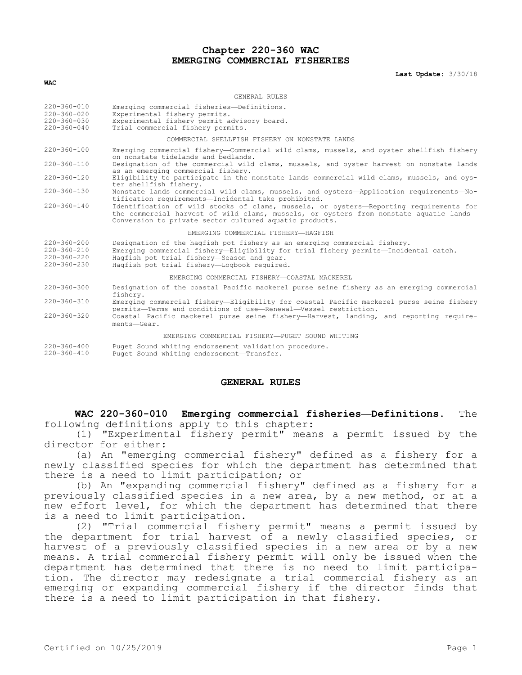# **Chapter 220-360 WAC EMERGING COMMERCIAL FISHERIES**

**Last Update:** 3/30/18

#### **WAC**

#### CENERAL RULES

| $220 - 360 - 010$<br>$220 - 360 - 020$<br>$220 - 360 - 030$<br>$220 - 360 - 040$ | Emerging commercial fisheries-Definitions.<br>Experimental fishery permits.<br>Experimental fishery permit advisory board.<br>Trial commercial fishery permits.                                                                                               |
|----------------------------------------------------------------------------------|---------------------------------------------------------------------------------------------------------------------------------------------------------------------------------------------------------------------------------------------------------------|
|                                                                                  | COMMERCIAL SHELLFISH FISHERY ON NONSTATE LANDS                                                                                                                                                                                                                |
| $220 - 360 - 100$                                                                | Emerging commercial fishery-Commercial wild clams, mussels, and oyster shellfish fishery<br>on nonstate tidelands and bedlands.                                                                                                                               |
| $220 - 360 - 110$                                                                | Designation of the commercial wild clams, mussels, and oyster harvest on nonstate lands<br>as an emerging commercial fishery.                                                                                                                                 |
| $220 - 360 - 120$                                                                | Eligibility to participate in the nonstate lands commercial wild clams, mussels, and oys-<br>ter shellfish fishery.                                                                                                                                           |
| $220 - 360 - 130$                                                                | Nonstate lands commercial wild clams, mussels, and oysters-Application requirements-No-<br>tification requirements-Incidental take prohibited.                                                                                                                |
| $220 - 360 - 140$                                                                | Identification of wild stocks of clams, mussels, or oysters-Reporting requirements for<br>the commercial harvest of wild clams, mussels, or oysters from nonstate aquatic lands-<br>Conversion to private sector cultured aquatic products.                   |
|                                                                                  | EMERGING COMMERCIAL FISHERY-HAGFISH                                                                                                                                                                                                                           |
| $220 - 360 - 200$<br>$220 - 360 - 210$<br>$220 - 360 - 220$<br>$220 - 360 - 230$ | Designation of the hagfish pot fishery as an emerging commercial fishery.<br>Emerging commercial fishery-Eligibility for trial fishery permits-Incidental catch.<br>Hagfish pot trial fishery-Season and gear.<br>Hagfish pot trial fishery-Logbook required. |
|                                                                                  | EMERGING COMMERCIAL FISHERY-COASTAL MACKEREL                                                                                                                                                                                                                  |
| $220 - 360 - 300$                                                                | Designation of the coastal Pacific mackerel purse seine fishery as an emerging commercial<br>fisherv.                                                                                                                                                         |
| $220 - 360 - 310$                                                                | Emerging commercial fishery—Eligibility for coastal Pacific mackerel purse seine fishery<br>permits-Terms and conditions of use-Renewal-Vessel restriction.                                                                                                   |
| $220 - 360 - 320$                                                                | Coastal Pacific mackerel purse seine fishery-Harvest, landing, and reporting require-<br>ments-Gear.                                                                                                                                                          |
|                                                                                  | EMERGING COMMERCIAL FISHERY-PUGET SOUND WHITING                                                                                                                                                                                                               |
| $220 - 360 - 400$<br>$220 - 360 - 410$                                           | Puget Sound whiting endorsement validation procedure.<br>Puget Sound whiting endorsement-Transfer.                                                                                                                                                            |

#### **GENERAL RULES**

**WAC 220-360-010 Emerging commercial fisheries—Definitions.** The following definitions apply to this chapter:

(1) "Experimental fishery permit" means a permit issued by the director for either:

(a) An "emerging commercial fishery" defined as a fishery for a newly classified species for which the department has determined that there is a need to limit participation; or

(b) An "expanding commercial fishery" defined as a fishery for a previously classified species in a new area, by a new method, or at a new effort level, for which the department has determined that there is a need to limit participation.

(2) "Trial commercial fishery permit" means a permit issued by the department for trial harvest of a newly classified species, or harvest of a previously classified species in a new area or by a new means. A trial commercial fishery permit will only be issued when the department has determined that there is no need to limit participation. The director may redesignate a trial commercial fishery as an emerging or expanding commercial fishery if the director finds that there is a need to limit participation in that fishery.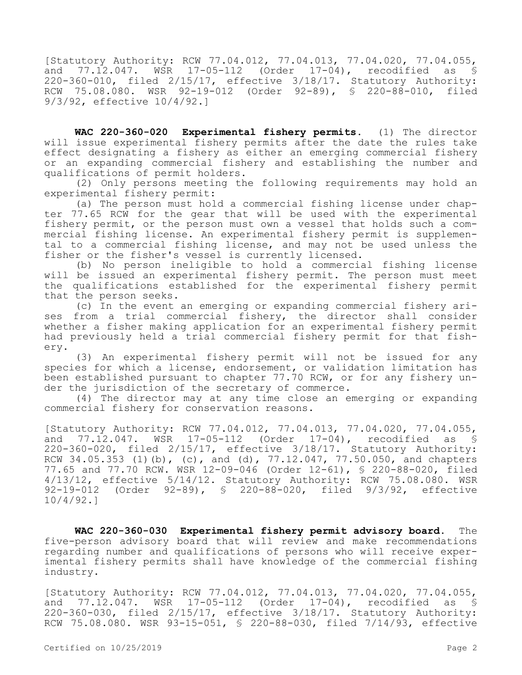[Statutory Authority: RCW 77.04.012, 77.04.013, 77.04.020, 77.04.055, and 77.12.047. WSR 17-05-112 (Order 17-04), recodified as § 220-360-010, filed 2/15/17, effective 3/18/17. Statutory Authority: RCW 75.08.080. WSR 92-19-012 (Order 92-89), § 220-88-010, filed 9/3/92, effective 10/4/92.]

**WAC 220-360-020 Experimental fishery permits.** (1) The director will issue experimental fishery permits after the date the rules take effect designating a fishery as either an emerging commercial fishery or an expanding commercial fishery and establishing the number and qualifications of permit holders.

(2) Only persons meeting the following requirements may hold an experimental fishery permit:

(a) The person must hold a commercial fishing license under chapter 77.65 RCW for the gear that will be used with the experimental fishery permit, or the person must own a vessel that holds such a commercial fishing license. An experimental fishery permit is supplemental to a commercial fishing license, and may not be used unless the fisher or the fisher's vessel is currently licensed.

(b) No person ineligible to hold a commercial fishing license will be issued an experimental fishery permit. The person must meet the qualifications established for the experimental fishery permit that the person seeks.

(c) In the event an emerging or expanding commercial fishery arises from a trial commercial fishery, the director shall consider whether a fisher making application for an experimental fishery permit had previously held a trial commercial fishery permit for that fishery.

(3) An experimental fishery permit will not be issued for any species for which a license, endorsement, or validation limitation has been established pursuant to chapter 77.70 RCW, or for any fishery under the jurisdiction of the secretary of commerce.

(4) The director may at any time close an emerging or expanding commercial fishery for conservation reasons.

[Statutory Authority: RCW 77.04.012, 77.04.013, 77.04.020, 77.04.055, and 77.12.047. WSR 17-05-112 (Order 17-04), recodified as § 220-360-020, filed 2/15/17, effective 3/18/17. Statutory Authority: RCW 34.05.353 (1)(b), (c), and (d), 77.12.047, 77.50.050, and chapters 77.65 and 77.70 RCW. WSR 12-09-046 (Order 12-61), § 220-88-020, filed 4/13/12, effective 5/14/12. Statutory Authority: RCW 75.08.080. WSR 92-19-012 (Order 92-89), § 220-88-020, filed 9/3/92, effective 10/4/92.]

**WAC 220-360-030 Experimental fishery permit advisory board.** The five-person advisory board that will review and make recommendations regarding number and qualifications of persons who will receive experimental fishery permits shall have knowledge of the commercial fishing industry.

[Statutory Authority: RCW 77.04.012, 77.04.013, 77.04.020, 77.04.055, and 77.12.047. WSR 17-05-112 (Order 17-04), recodified as § 220-360-030, filed 2/15/17, effective 3/18/17. Statutory Authority: RCW 75.08.080. WSR 93-15-051, § 220-88-030, filed 7/14/93, effective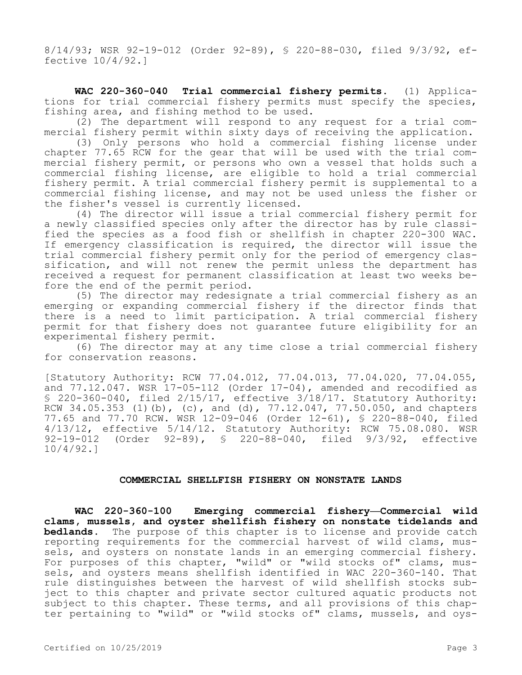8/14/93; WSR 92-19-012 (Order 92-89), § 220-88-030, filed 9/3/92, effective 10/4/92.]

**WAC 220-360-040 Trial commercial fishery permits.** (1) Applications for trial commercial fishery permits must specify the species, fishing area, and fishing method to be used.

(2) The department will respond to any request for a trial commercial fishery permit within sixty days of receiving the application.

(3) Only persons who hold a commercial fishing license under chapter 77.65 RCW for the gear that will be used with the trial commercial fishery permit, or persons who own a vessel that holds such a commercial fishing license, are eligible to hold a trial commercial fishery permit. A trial commercial fishery permit is supplemental to a commercial fishing license, and may not be used unless the fisher or the fisher's vessel is currently licensed.

(4) The director will issue a trial commercial fishery permit for a newly classified species only after the director has by rule classified the species as a food fish or shellfish in chapter 220-300 WAC. If emergency classification is required, the director will issue the trial commercial fishery permit only for the period of emergency classification, and will not renew the permit unless the department has received a request for permanent classification at least two weeks before the end of the permit period.

(5) The director may redesignate a trial commercial fishery as an emerging or expanding commercial fishery if the director finds that there is a need to limit participation. A trial commercial fishery permit for that fishery does not guarantee future eligibility for an experimental fishery permit.

(6) The director may at any time close a trial commercial fishery for conservation reasons.

[Statutory Authority: RCW 77.04.012, 77.04.013, 77.04.020, 77.04.055, and 77.12.047. WSR 17-05-112 (Order 17-04), amended and recodified as § 220-360-040, filed 2/15/17, effective 3/18/17. Statutory Authority: RCW 34.05.353 (1)(b), (c), and (d), 77.12.047, 77.50.050, and chapters 77.65 and 77.70 RCW. WSR 12-09-046 (Order 12-61), § 220-88-040, filed 4/13/12, effective 5/14/12. Statutory Authority: RCW 75.08.080. WSR 92-19-012 (Order 92-89), § 220-88-040, filed 9/3/92, effective 10/4/92.]

## **COMMERCIAL SHELLFISH FISHERY ON NONSTATE LANDS**

**WAC 220-360-100 Emerging commercial fishery—Commercial wild clams, mussels, and oyster shellfish fishery on nonstate tidelands and bedlands.** The purpose of this chapter is to license and provide catch reporting requirements for the commercial harvest of wild clams, mussels, and oysters on nonstate lands in an emerging commercial fishery. For purposes of this chapter, "wild" or "wild stocks of" clams, mussels, and oysters means shellfish identified in WAC 220-360-140. That rule distinguishes between the harvest of wild shellfish stocks subject to this chapter and private sector cultured aquatic products not subject to this chapter. These terms, and all provisions of this chapter pertaining to "wild" or "wild stocks of" clams, mussels, and oys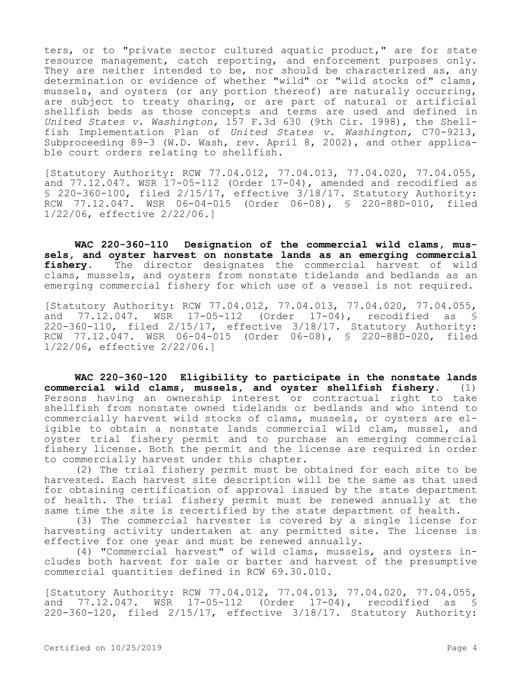ters, or to "private sector cultured aquatic product," are for state resource management, catch reporting, and enforcement purposes only. They are neither intended to be, nor should be characterized as, any determination or evidence of whether "wild" or "wild stocks of" clams, mussels, and oysters (or any portion thereof) are naturally occurring, are subject to treaty sharing, or are part of natural or artificial shellfish beds as those concepts and terms are used and defined in *United States v. Washington,* 157 F.3d 630 (9th Cir. 1998), the Shellfish Implementation Plan of *United States v. Washington,* C70-9213, Subproceeding 89-3 (W.D. Wash, rev. April 8, 2002), and other applicable court orders relating to shellfish.

[Statutory Authority: RCW 77.04.012, 77.04.013, 77.04.020, 77.04.055, and  $77.12.047$ . WSR  $17-05-112$  (Order  $17-04$ ), amended and recodified as § 220-360-100, filed  $2/15/17$ , effective  $3/18/17$ . Statutory Authority: RCW 77.12.047. WSR 06-04-015 (Order 06-08), § 220-88D-010, filed 1/22/06, effective 2/22/06.]

**WAC 220-360-110 Designation of the commercial wild clams, mussels, and oyster harvest on nonstate lands as an emerging commercial fishery.** The director designates the commercial harvest of wild clams, mussels, and oysters from nonstate tidelands and bedlands as an emerging commercial fishery for which use of a vessel is not required.

[Statutory Authority: RCW 77.04.012, 77.04.013, 77.04.020, 77.04.055, and 77.12.047. WSR 17-05-112 (Order 17-04), recodified as § 220-360-110, filed 2/15/17, effective 3/18/17. Statutory Authority: RCW 77.12.047. WSR 06-04-015 (Order 06-08), § 220-88D-020, filed 1/22/06, effective 2/22/06.]

**WAC 220-360-120 Eligibility to participate in the nonstate lands commercial wild clams, mussels, and oyster shellfish fishery.** (1) Persons having an ownership interest or contractual right to take shellfish from nonstate owned tidelands or bedlands and who intend to commercially harvest wild stocks of clams, mussels, or oysters are eligible to obtain a nonstate lands commercial wild clam, mussel, and oyster trial fishery permit and to purchase an emerging commercial fishery license. Both the permit and the license are required in order to commercially harvest under this chapter.

(2) The trial fishery permit must be obtained for each site to be harvested. Each harvest site description will be the same as that used for obtaining certification of approval issued by the state department of health. The trial fishery permit must be renewed annually at the same time the site is recertified by the state department of health.

(3) The commercial harvester is covered by a single license for harvesting activity undertaken at any permitted site. The license is effective for one year and must be renewed annually.

(4) "Commercial harvest" of wild clams, mussels, and oysters includes both harvest for sale or barter and harvest of the presumptive commercial quantities defined in RCW 69.30.010.

[Statutory Authority: RCW 77.04.012, 77.04.013, 77.04.020, 77.04.055, and 77.12.047. WSR 17-05-112 (Order 17-04), recodified as § 220-360-120, filed 2/15/17, effective 3/18/17. Statutory Authority: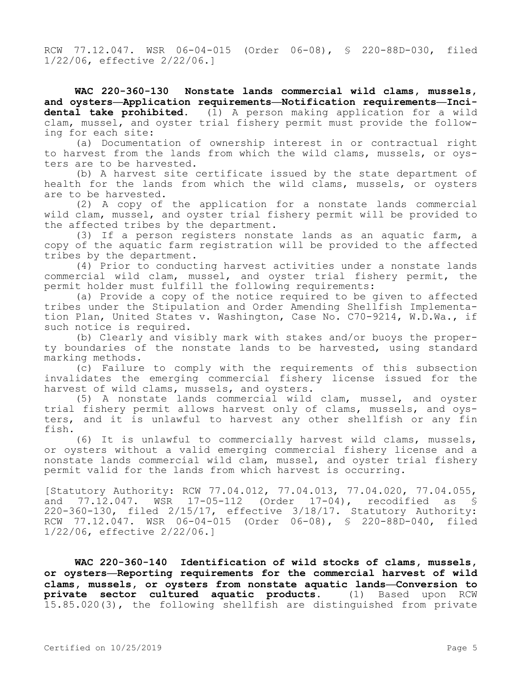RCW 77.12.047. WSR 06-04-015 (Order 06-08), § 220-88D-030, filed 1/22/06, effective 2/22/06.]

**WAC 220-360-130 Nonstate lands commercial wild clams, mussels, and oysters—Application requirements—Notification requirements—Incidental take prohibited.** (1) A person making application for a wild clam, mussel, and oyster trial fishery permit must provide the following for each site:

(a) Documentation of ownership interest in or contractual right to harvest from the lands from which the wild clams, mussels, or oysters are to be harvested.

(b) A harvest site certificate issued by the state department of health for the lands from which the wild clams, mussels, or oysters are to be harvested.

(2) A copy of the application for a nonstate lands commercial wild clam, mussel, and oyster trial fishery permit will be provided to the affected tribes by the department.

(3) If a person registers nonstate lands as an aquatic farm, a copy of the aquatic farm registration will be provided to the affected tribes by the department.

(4) Prior to conducting harvest activities under a nonstate lands commercial wild clam, mussel, and oyster trial fishery permit, the permit holder must fulfill the following requirements:

(a) Provide a copy of the notice required to be given to affected tribes under the Stipulation and Order Amending Shellfish Implementation Plan, United States v. Washington, Case No. C70-9214, W.D.Wa., if such notice is required.

(b) Clearly and visibly mark with stakes and/or buoys the property boundaries of the nonstate lands to be harvested, using standard marking methods.

(c) Failure to comply with the requirements of this subsection invalidates the emerging commercial fishery license issued for the harvest of wild clams, mussels, and oysters.

(5) A nonstate lands commercial wild clam, mussel, and oyster trial fishery permit allows harvest only of clams, mussels, and oysters, and it is unlawful to harvest any other shellfish or any fin fish.

(6) It is unlawful to commercially harvest wild clams, mussels, or oysters without a valid emerging commercial fishery license and a nonstate lands commercial wild clam, mussel, and oyster trial fishery permit valid for the lands from which harvest is occurring.

[Statutory Authority: RCW 77.04.012, 77.04.013, 77.04.020, 77.04.055, and 77.12.047. WSR 17-05-112 (Order 17-04), recodified as § 220-360-130, filed 2/15/17, effective 3/18/17. Statutory Authority: RCW 77.12.047. WSR 06-04-015 (Order 06-08), § 220-88D-040, filed 1/22/06, effective 2/22/06.]

**WAC 220-360-140 Identification of wild stocks of clams, mussels, or oysters—Reporting requirements for the commercial harvest of wild clams, mussels, or oysters from nonstate aquatic lands—Conversion to private sector cultured aquatic products.** (1) Based upon RCW 15.85.020(3), the following shellfish are distinguished from private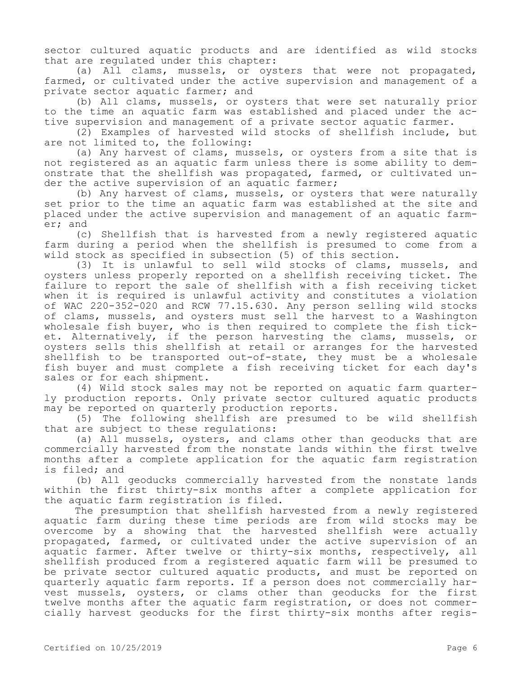sector cultured aquatic products and are identified as wild stocks that are regulated under this chapter:

(a) All clams, mussels, or oysters that were not propagated, farmed, or cultivated under the active supervision and management of a private sector aquatic farmer; and

(b) All clams, mussels, or oysters that were set naturally prior to the time an aquatic farm was established and placed under the active supervision and management of a private sector aquatic farmer.

(2) Examples of harvested wild stocks of shellfish include, but are not limited to, the following:

(a) Any harvest of clams, mussels, or oysters from a site that is not registered as an aquatic farm unless there is some ability to demonstrate that the shellfish was propagated, farmed, or cultivated under the active supervision of an aquatic farmer;

(b) Any harvest of clams, mussels, or oysters that were naturally set prior to the time an aquatic farm was established at the site and placed under the active supervision and management of an aquatic farmer; and

(c) Shellfish that is harvested from a newly registered aquatic farm during a period when the shellfish is presumed to come from a wild stock as specified in subsection (5) of this section.

(3) It is unlawful to sell wild stocks of clams, mussels, and oysters unless properly reported on a shellfish receiving ticket. The failure to report the sale of shellfish with a fish receiving ticket when it is required is unlawful activity and constitutes a violation of WAC 220-352-020 and RCW 77.15.630. Any person selling wild stocks of clams, mussels, and oysters must sell the harvest to a Washington wholesale fish buyer, who is then required to complete the fish ticket. Alternatively, if the person harvesting the clams, mussels, or oysters sells this shellfish at retail or arranges for the harvested shellfish to be transported out-of-state, they must be a wholesale fish buyer and must complete a fish receiving ticket for each day's sales or for each shipment.

(4) Wild stock sales may not be reported on aquatic farm quarterly production reports. Only private sector cultured aquatic products may be reported on quarterly production reports.

(5) The following shellfish are presumed to be wild shellfish that are subject to these regulations:

(a) All mussels, oysters, and clams other than geoducks that are commercially harvested from the nonstate lands within the first twelve months after a complete application for the aquatic farm registration is filed; and

(b) All geoducks commercially harvested from the nonstate lands within the first thirty-six months after a complete application for the aquatic farm registration is filed.

The presumption that shellfish harvested from a newly registered aquatic farm during these time periods are from wild stocks may be overcome by a showing that the harvested shellfish were actually propagated, farmed, or cultivated under the active supervision of an aquatic farmer. After twelve or thirty-six months, respectively, all shellfish produced from a registered aquatic farm will be presumed to be private sector cultured aquatic products, and must be reported on quarterly aquatic farm reports. If a person does not commercially harvest mussels, oysters, or clams other than geoducks for the first twelve months after the aquatic farm registration, or does not commercially harvest geoducks for the first thirty-six months after regis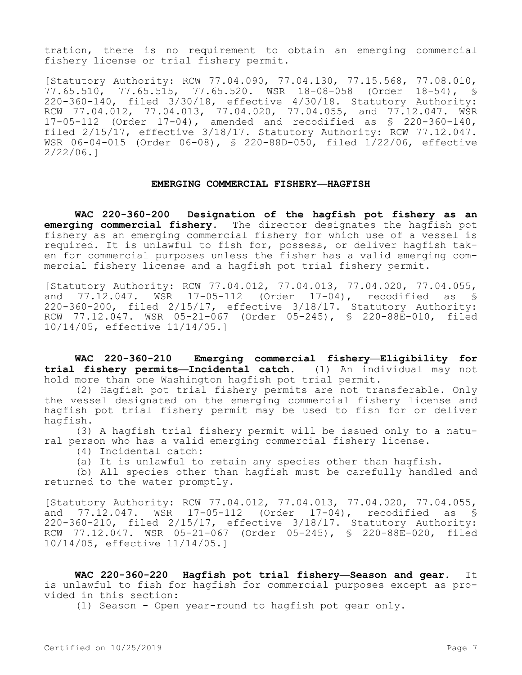tration, there is no requirement to obtain an emerging commercial fishery license or trial fishery permit.

[Statutory Authority: RCW 77.04.090, 77.04.130, 77.15.568, 77.08.010, 77.65.510, 77.65.515, 77.65.520. WSR 18-08-058 (Order 18-54), § 220-360-140, filed 3/30/18, effective 4/30/18. Statutory Authority: RCW 77.04.012, 77.04.013, 77.04.020, 77.04.055, and 77.12.047. WSR 17-05-112 (Order 17-04), amended and recodified as § 220-360-140, filed 2/15/17, effective 3/18/17. Statutory Authority: RCW 77.12.047. WSR 06-04-015 (Order 06-08), § 220-88D-050, filed 1/22/06, effective 2/22/06.]

### **EMERGING COMMERCIAL FISHERY—HAGFISH**

**WAC 220-360-200 Designation of the hagfish pot fishery as an emerging commercial fishery.** The director designates the hagfish pot fishery as an emerging commercial fishery for which use of a vessel is required. It is unlawful to fish for, possess, or deliver hagfish taken for commercial purposes unless the fisher has a valid emerging commercial fishery license and a hagfish pot trial fishery permit.

[Statutory Authority: RCW 77.04.012, 77.04.013, 77.04.020, 77.04.055, and 77.12.047. WSR 17-05-112 (Order 17-04), recodified as § 220-360-200, filed 2/15/17, effective 3/18/17. Statutory Authority: RCW 77.12.047. WSR 05-21-067 (Order 05-245), § 220-88E-010, filed 10/14/05, effective 11/14/05.]

**WAC 220-360-210 Emerging commercial fishery—Eligibility for trial fishery permits—Incidental catch.** (1) An individual may not hold more than one Washington hagfish pot trial permit.

(2) Hagfish pot trial fishery permits are not transferable. Only the vessel designated on the emerging commercial fishery license and hagfish pot trial fishery permit may be used to fish for or deliver hagfish.

(3) A hagfish trial fishery permit will be issued only to a natural person who has a valid emerging commercial fishery license.

(4) Incidental catch:

(a) It is unlawful to retain any species other than hagfish.

(b) All species other than hagfish must be carefully handled and returned to the water promptly.

[Statutory Authority: RCW 77.04.012, 77.04.013, 77.04.020, 77.04.055, and 77.12.047. WSR 17-05-112 (Order 17-04), recodified as § 220-360-210, filed 2/15/17, effective 3/18/17. Statutory Authority: RCW 77.12.047. WSR 05-21-067 (Order 05-245), § 220-88E-020, filed 10/14/05, effective 11/14/05.]

**WAC 220-360-220 Hagfish pot trial fishery—Season and gear.** It is unlawful to fish for hagfish for commercial purposes except as provided in this section:

(1) Season - Open year-round to hagfish pot gear only.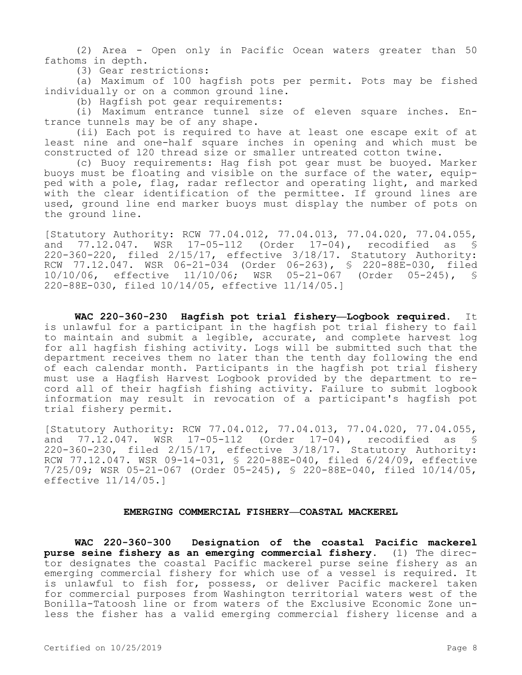(2) Area - Open only in Pacific Ocean waters greater than 50 fathoms in depth.

(3) Gear restrictions:

(a) Maximum of 100 hagfish pots per permit. Pots may be fished individually or on a common ground line.

(b) Hagfish pot gear requirements:

(i) Maximum entrance tunnel size of eleven square inches. Entrance tunnels may be of any shape.

(ii) Each pot is required to have at least one escape exit of at least nine and one-half square inches in opening and which must be constructed of 120 thread size or smaller untreated cotton twine.

(c) Buoy requirements: Hag fish pot gear must be buoyed. Marker buoys must be floating and visible on the surface of the water, equipped with a pole, flag, radar reflector and operating light, and marked with the clear identification of the permittee. If ground lines are used, ground line end marker buoys must display the number of pots on the ground line.

[Statutory Authority: RCW 77.04.012, 77.04.013, 77.04.020, 77.04.055,<br>and 77.12.047. WSR 17-05-112 (Order 17-04), recodified as § and 77.12.047. WSR 17-05-112 (Order 17-04), recodified as § 220-360-220, filed 2/15/17, effective 3/18/17. Statutory Authority: RCW 77.12.047. WSR 06-21-034 (Order 06-263), § 220-88E-030, filed 10/10/06, effective 11/10/06; WSR 05-21-067 (Order 05-245), § 220-88E-030, filed 10/14/05, effective 11/14/05.]

**WAC 220-360-230 Hagfish pot trial fishery—Logbook required.** It is unlawful for a participant in the hagfish pot trial fishery to fail to maintain and submit a legible, accurate, and complete harvest log for all hagfish fishing activity. Logs will be submitted such that the department receives them no later than the tenth day following the end of each calendar month. Participants in the hagfish pot trial fishery must use a Hagfish Harvest Logbook provided by the department to record all of their hagfish fishing activity. Failure to submit logbook information may result in revocation of a participant's hagfish pot trial fishery permit.

[Statutory Authority: RCW 77.04.012, 77.04.013, 77.04.020, 77.04.055, and 77.12.047. WSR 17-05-112 (Order 17-04), recodified as § 220-360-230, filed 2/15/17, effective 3/18/17. Statutory Authority: RCW 77.12.047. WSR 09-14-031, § 220-88E-040, filed 6/24/09, effective 7/25/09; WSR 05-21-067 (Order 05-245), § 220-88E-040, filed 10/14/05, effective 11/14/05.]

# **EMERGING COMMERCIAL FISHERY—COASTAL MACKEREL**

**WAC 220-360-300 Designation of the coastal Pacific mackerel purse seine fishery as an emerging commercial fishery.** (1) The director designates the coastal Pacific mackerel purse seine fishery as an emerging commercial fishery for which use of a vessel is required. It is unlawful to fish for, possess, or deliver Pacific mackerel taken for commercial purposes from Washington territorial waters west of the Bonilla-Tatoosh line or from waters of the Exclusive Economic Zone unless the fisher has a valid emerging commercial fishery license and a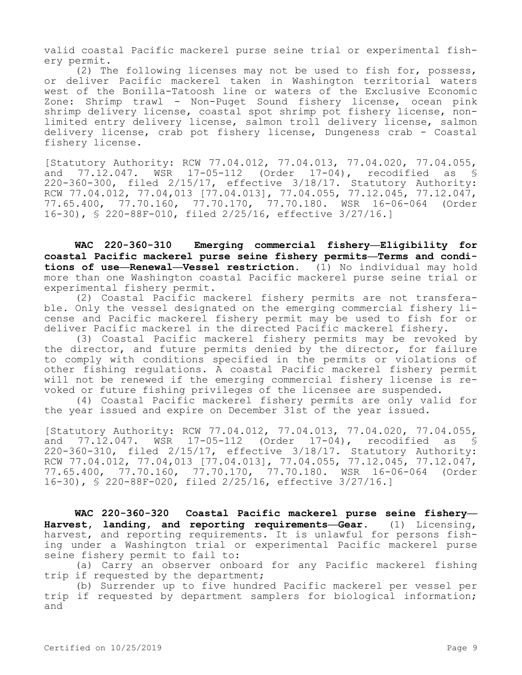valid coastal Pacific mackerel purse seine trial or experimental fishery permit.

(2) The following licenses may not be used to fish for, possess, or deliver Pacific mackerel taken in Washington territorial waters west of the Bonilla-Tatoosh line or waters of the Exclusive Economic Zone: Shrimp trawl - Non-Puget Sound fishery license, ocean pink shrimp delivery license, coastal spot shrimp pot fishery license, nonlimited entry delivery license, salmon troll delivery license, salmon delivery license, crab pot fishery license, Dungeness crab - Coastal fishery license.

[Statutory Authority: RCW 77.04.012, 77.04.013, 77.04.020, 77.04.055,<br>and 77.12.047. WSR 17-05-112 (Order 17-04), recodified as §  $17-05-112$  (Order  $17-04$ ), recodified as § 220-360-300, filed 2/15/17, effective 3/18/17. Statutory Authority: RCW 77.04.012, 77.04,013 [77.04.013], 77.04.055, 77.12.045, 77.12.047, 77.65.400, 77.70.160, 77.70.170, 77.70.180. WSR 16-06-064 (Order 16-30), § 220-88F-010, filed 2/25/16, effective 3/27/16.]

**WAC 220-360-310 Emerging commercial fishery—Eligibility for coastal Pacific mackerel purse seine fishery permits—Terms and conditions of use—Renewal—Vessel restriction.** (1) No individual may hold more than one Washington coastal Pacific mackerel purse seine trial or experimental fishery permit.

(2) Coastal Pacific mackerel fishery permits are not transferable. Only the vessel designated on the emerging commercial fishery license and Pacific mackerel fishery permit may be used to fish for or deliver Pacific mackerel in the directed Pacific mackerel fishery.

(3) Coastal Pacific mackerel fishery permits may be revoked by the director, and future permits denied by the director, for failure to comply with conditions specified in the permits or violations of other fishing regulations. A coastal Pacific mackerel fishery permit will not be renewed if the emerging commercial fishery license is revoked or future fishing privileges of the licensee are suspended.

(4) Coastal Pacific mackerel fishery permits are only valid for the year issued and expire on December 31st of the year issued.

[Statutory Authority: RCW 77.04.012, 77.04.013, 77.04.020, 77.04.055, and 77.12.047. WSR 17-05-112 (Order 17-04), recodified as § 220-360-310, filed 2/15/17, effective 3/18/17. Statutory Authority: RCW 77.04.012, 77.04,013 [77.04.013], 77.04.055, 77.12.045, 77.12.047, 77.65.400, 77.70.160, 77.70.170, 77.70.180. WSR 16-06-064 (Order 16-30), § 220-88F-020, filed 2/25/16, effective 3/27/16.]

**WAC 220-360-320 Coastal Pacific mackerel purse seine fishery— Harvest, landing, and reporting requirements—Gear.** (1) Licensing, harvest, and reporting requirements. It is unlawful for persons fishing under a Washington trial or experimental Pacific mackerel purse seine fishery permit to fail to:

(a) Carry an observer onboard for any Pacific mackerel fishing trip if requested by the department;

(b) Surrender up to five hundred Pacific mackerel per vessel per trip if requested by department samplers for biological information; and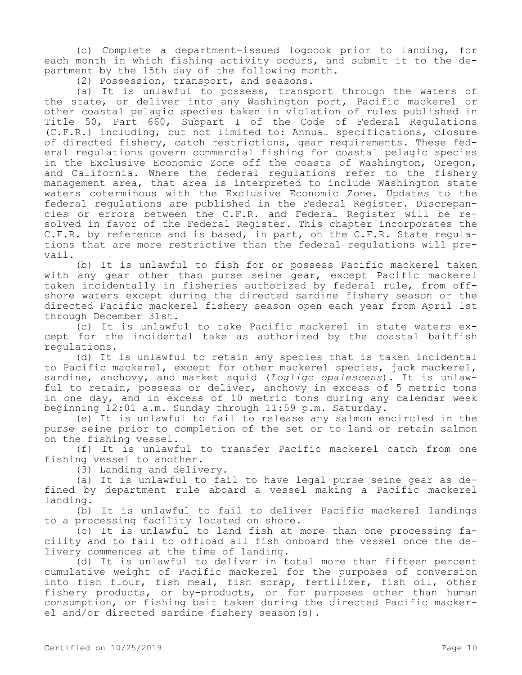(c) Complete a department-issued logbook prior to landing, for each month in which fishing activity occurs, and submit it to the department by the 15th day of the following month.

(2) Possession, transport, and seasons.

(a) It is unlawful to possess, transport through the waters of the state, or deliver into any Washington port, Pacific mackerel or other coastal pelagic species taken in violation of rules published in Title 50, Part 660, Subpart I of the Code of Federal Regulations (C.F.R.) including, but not limited to: Annual specifications, closure of directed fishery, catch restrictions, gear requirements. These federal regulations govern commercial fishing for coastal pelagic species in the Exclusive Economic Zone off the coasts of Washington, Oregon, and California. Where the federal regulations refer to the fishery management area, that area is interpreted to include Washington state waters coterminous with the Exclusive Economic Zone. Updates to the federal regulations are published in the Federal Register. Discrepancies or errors between the C.F.R. and Federal Register will be resolved in favor of the Federal Register. This chapter incorporates the C.F.R. by reference and is based, in part, on the C.F.R. State regulations that are more restrictive than the federal regulations will prevail.

(b) It is unlawful to fish for or possess Pacific mackerel taken with any gear other than purse seine gear, except Pacific mackerel taken incidentally in fisheries authorized by federal rule, from offshore waters except during the directed sardine fishery season or the directed Pacific mackerel fishery season open each year from April 1st through December 31st.

(c) It is unlawful to take Pacific mackerel in state waters except for the incidental take as authorized by the coastal baitfish regulations.

(d) It is unlawful to retain any species that is taken incidental to Pacific mackerel, except for other mackerel species, jack mackerel, sardine, anchovy, and market squid (*Logligo opalescens*). It is unlawful to retain, possess or deliver, anchovy in excess of 5 metric tons in one day, and in excess of 10 metric tons during any calendar week beginning 12:01 a.m. Sunday through 11:59 p.m. Saturday.

(e) It is unlawful to fail to release any salmon encircled in the purse seine prior to completion of the set or to land or retain salmon on the fishing vessel.

(f) It is unlawful to transfer Pacific mackerel catch from one fishing vessel to another.

(3) Landing and delivery.

(a) It is unlawful to fail to have legal purse seine gear as defined by department rule aboard a vessel making a Pacific mackerel landing.

(b) It is unlawful to fail to deliver Pacific mackerel landings to a processing facility located on shore.

(c) It is unlawful to land fish at more than one processing facility and to fail to offload all fish onboard the vessel once the delivery commences at the time of landing.

(d) It is unlawful to deliver in total more than fifteen percent cumulative weight of Pacific mackerel for the purposes of conversion into fish flour, fish meal, fish scrap, fertilizer, fish oil, other fishery products, or by-products, or for purposes other than human consumption, or fishing bait taken during the directed Pacific mackerel and/or directed sardine fishery season(s).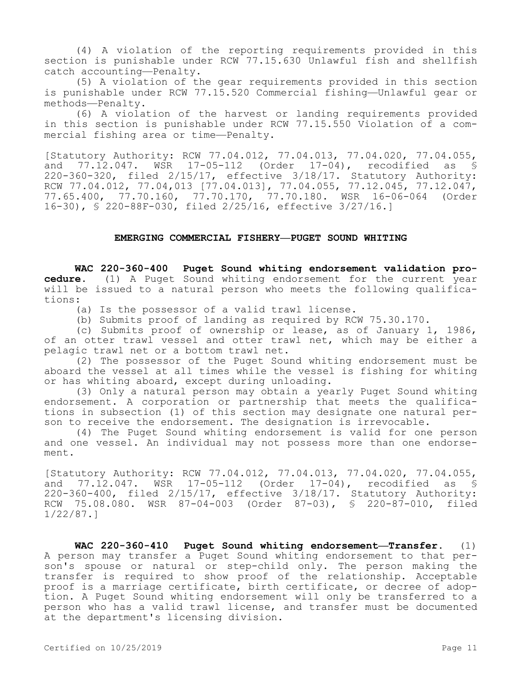(4) A violation of the reporting requirements provided in this section is punishable under RCW 77.15.630 Unlawful fish and shellfish catch accounting—Penalty.

(5) A violation of the gear requirements provided in this section is punishable under RCW 77.15.520 Commercial fishing—Unlawful gear or methods—Penalty.

(6) A violation of the harvest or landing requirements provided in this section is punishable under RCW 77.15.550 Violation of a commercial fishing area or time—Penalty.

[Statutory Authority: RCW 77.04.012, 77.04.013, 77.04.020, 77.04.055, and 77.12.047. WSR 17-05-112 (Order 17-04), recodified as § 220-360-320, filed 2/15/17, effective 3/18/17. Statutory Authority: RCW 77.04.012, 77.04,013 [77.04.013], 77.04.055, 77.12.045, 77.12.047, 77.65.400, 77.70.160, 77.70.170, 77.70.180. WSR 16-06-064 (Order 16-30), § 220-88F-030, filed 2/25/16, effective 3/27/16.]

## **EMERGING COMMERCIAL FISHERY—PUGET SOUND WHITING**

**WAC 220-360-400 Puget Sound whiting endorsement validation procedure.** (1) A Puget Sound whiting endorsement for the current year will be issued to a natural person who meets the following qualifications:

(a) Is the possessor of a valid trawl license.

(b) Submits proof of landing as required by RCW 75.30.170.

(c) Submits proof of ownership or lease, as of January 1, 1986, of an otter trawl vessel and otter trawl net, which may be either a pelagic trawl net or a bottom trawl net.

(2) The possessor of the Puget Sound whiting endorsement must be aboard the vessel at all times while the vessel is fishing for whiting or has whiting aboard, except during unloading.

(3) Only a natural person may obtain a yearly Puget Sound whiting endorsement. A corporation or partnership that meets the qualifications in subsection (1) of this section may designate one natural person to receive the endorsement. The designation is irrevocable.

(4) The Puget Sound whiting endorsement is valid for one person and one vessel. An individual may not possess more than one endorsement.

[Statutory Authority: RCW 77.04.012, 77.04.013, 77.04.020, 77.04.055, and 77.12.047. WSR 17-05-112 (Order 17-04), recodified as § 220-360-400, filed 2/15/17, effective 3/18/17. Statutory Authority: RCW 75.08.080. WSR 87-04-003 (Order 87-03), § 220-87-010, filed 1/22/87.]

**WAC 220-360-410 Puget Sound whiting endorsement—Transfer.** (1) A person may transfer a Puget Sound whiting endorsement to that person's spouse or natural or step-child only. The person making the transfer is required to show proof of the relationship. Acceptable proof is a marriage certificate, birth certificate, or decree of adoption. A Puget Sound whiting endorsement will only be transferred to a person who has a valid trawl license, and transfer must be documented at the department's licensing division.